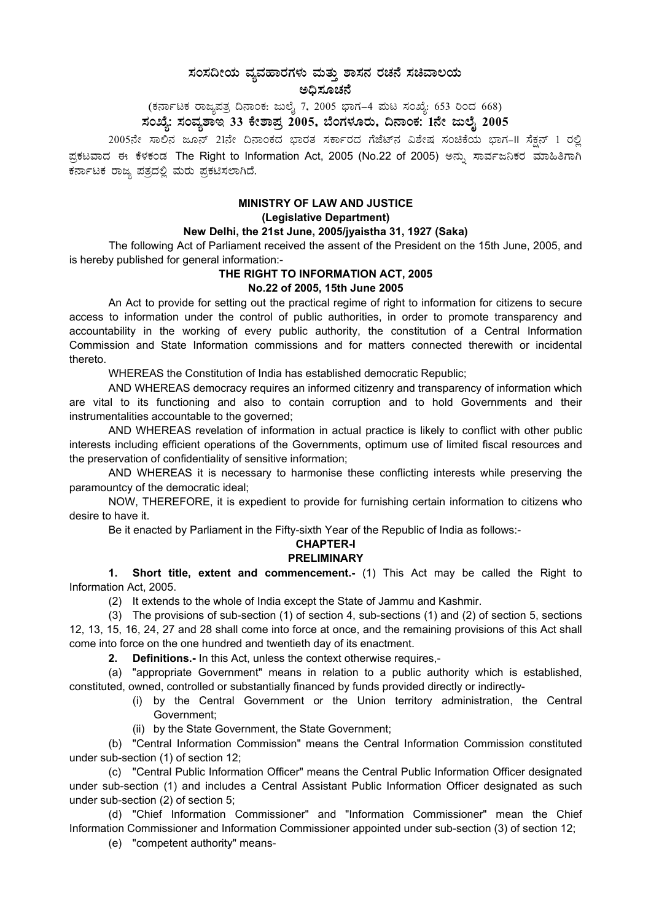# $\vec{a}$ ಸಂಸದೀಯ ವ್ಯವಹಾರಗಳು ಮತ್ತು ಶಾಸನ ರಚನೆ ಸಚಿವಾಲಯ ಅಧಿಸೂಚನೆ

(ಕರ್ನಾಟಕ ರಾಜ್ಯಪತ್ರ ದಿನಾಂಕ: ಜುಲೈ 7, 2005 ಭಾಗ–4 ಮಟ ಸಂಖ್ಯೆ: 653 ರಿಂದ 668)

# ಸಂಖ್ಯೆ: ಸಂವ್ಯಶಾಇ 33 ಕೇಶಾಪ್ರ 2005, ಬೆಂಗಳೂರು, ದಿನಾಂಕ: 1ನೇ ಜುಲೈ 2005 <sub>-</sub>

2005ನೇ ಸಾಲಿನ ಜೂನ್ 21ನೇ ದಿನಾಂಕದ ಭಾರತ ಸರ್ಕಾರದ ಗೆಜೆಟ್ನ ವಿಶೇಷ ಸಂಚಿಕೆಯ ಭಾಗ-II ಸೆಕ್ಷನ್ 1 ರಲ್ಲಿ ಪ್ರಕಟವಾದ ಈ ಕೆಳಕಂಡ The Right to Information Act, 2005 (No.22 of 2005) ಅನ್ನು ಸಾರ್ವಜನಿಕರ ಮಾಹಿತಿಗಾಗಿ ಕರ್ನಾಟಕ ರಾಜ್ಯ ಪತ್ರದಲ್ಲಿ ಮರು ಪ್ರಕಟಿಸಲಾಗಿದೆ.

# **MINISTRY OF LAW AND JUSTICE (Legislative Department)**

### **New Delhi, the 21st June, 2005/jyaistha 31, 1927 (Saka)**

The following Act of Parliament received the assent of the President on the 15th June, 2005, and is hereby published for general information:-

## **THE RIGHT TO INFORMATION ACT, 2005 No.22 of 2005, 15th June 2005**

An Act to provide for setting out the practical regime of right to information for citizens to secure access to information under the control of public authorities, in order to promote transparency and accountability in the working of every public authority, the constitution of a Central Information Commission and State Information commissions and for matters connected therewith or incidental thereto.

WHEREAS the Constitution of India has established democratic Republic;

AND WHEREAS democracy requires an informed citizenry and transparency of information which are vital to its functioning and also to contain corruption and to hold Governments and their instrumentalities accountable to the governed;

AND WHEREAS revelation of information in actual practice is likely to conflict with other public interests including efficient operations of the Governments, optimum use of limited fiscal resources and the preservation of confidentiality of sensitive information;

AND WHEREAS it is necessary to harmonise these conflicting interests while preserving the paramountcy of the democratic ideal;

NOW, THEREFORE, it is expedient to provide for furnishing certain information to citizens who desire to have it.

Be it enacted by Parliament in the Fifty-sixth Year of the Republic of India as follows:-

# **CHAPTER-I**

## **PRELIMINARY**

**1. Short title, extent and commencement.-** (1) This Act may be called the Right to Information Act, 2005.

(2) It extends to the whole of India except the State of Jammu and Kashmir.

(3) The provisions of sub-section (1) of section 4, sub-sections (1) and (2) of section 5, sections 12, 13, 15, 16, 24, 27 and 28 shall come into force at once, and the remaining provisions of this Act shall come into force on the one hundred and twentieth day of its enactment.

**2. Definitions.-** In this Act, unless the context otherwise requires,-

(a) "appropriate Government" means in relation to a public authority which is established, constituted, owned, controlled or substantially financed by funds provided directly or indirectly-

- (i) by the Central Government or the Union territory administration, the Central Government;
- (ii) by the State Government, the State Government;

(b) "Central Information Commission" means the Central Information Commission constituted under sub-section (1) of section 12;

(c) "Central Public Information Officer" means the Central Public Information Officer designated under sub-section (1) and includes a Central Assistant Public Information Officer designated as such under sub-section (2) of section 5;

(d) "Chief Information Commissioner" and "Information Commissioner" mean the Chief Information Commissioner and Information Commissioner appointed under sub-section (3) of section 12;

(e) "competent authority" means-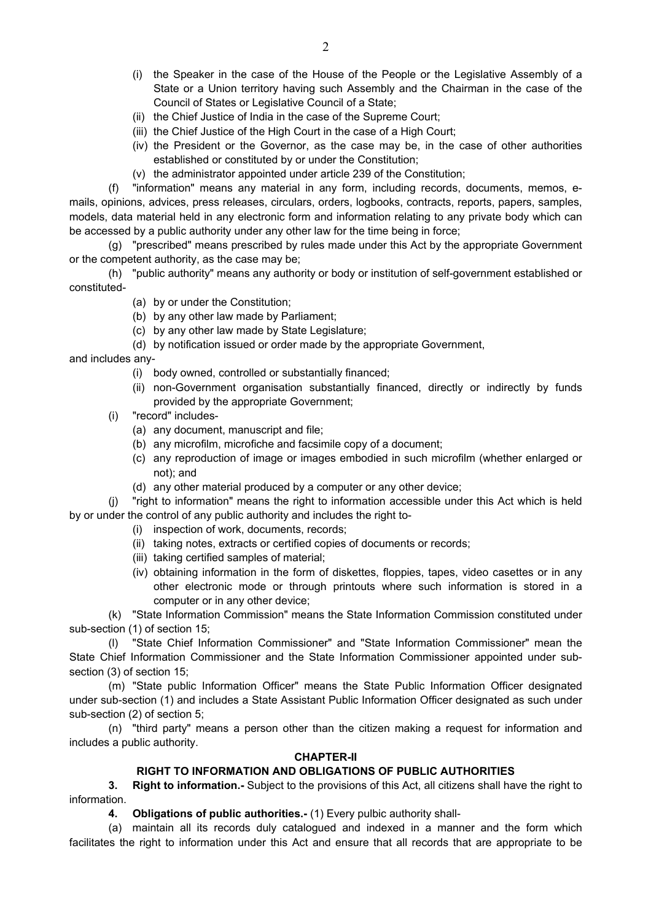- (i) the Speaker in the case of the House of the People or the Legislative Assembly of a State or a Union territory having such Assembly and the Chairman in the case of the Council of States or Legislative Council of a State;
- (ii) the Chief Justice of India in the case of the Supreme Court;
- (iii) the Chief Justice of the High Court in the case of a High Court;
- (iv) the President or the Governor, as the case may be, in the case of other authorities established or constituted by or under the Constitution;
- (v) the administrator appointed under article 239 of the Constitution;

(f) "information" means any material in any form, including records, documents, memos, emails, opinions, advices, press releases, circulars, orders, logbooks, contracts, reports, papers, samples, models, data material held in any electronic form and information relating to any private body which can be accessed by a public authority under any other law for the time being in force;

(g) "prescribed" means prescribed by rules made under this Act by the appropriate Government or the competent authority, as the case may be;

(h) "public authority" means any authority or body or institution of self-government established or constituted-

- (a) by or under the Constitution;
- (b) by any other law made by Parliament;
- (c) by any other law made by State Legislature;
- (d) by notification issued or order made by the appropriate Government,

and includes any-

- (i) body owned, controlled or substantially financed;
- (ii) non-Government organisation substantially financed, directly or indirectly by funds provided by the appropriate Government;
- (i) "record" includes-
	- (a) any document, manuscript and file;
	- (b) any microfilm, microfiche and facsimile copy of a document;
	- (c) any reproduction of image or images embodied in such microfilm (whether enlarged or not); and
	- (d) any other material produced by a computer or any other device;

(j) "right to information" means the right to information accessible under this Act which is held by or under the control of any public authority and includes the right to-

- (i) inspection of work, documents, records;
- (ii) taking notes, extracts or certified copies of documents or records;
- (iii) taking certified samples of material;
- (iv) obtaining information in the form of diskettes, floppies, tapes, video casettes or in any other electronic mode or through printouts where such information is stored in a computer or in any other device;

(k) "State Information Commission" means the State Information Commission constituted under sub-section (1) of section 15;

(l) "State Chief Information Commissioner" and "State Information Commissioner" mean the State Chief Information Commissioner and the State Information Commissioner appointed under subsection (3) of section 15;

(m) "State public Information Officer" means the State Public Information Officer designated under sub-section (1) and includes a State Assistant Public Information Officer designated as such under sub-section (2) of section 5;

(n) "third party" means a person other than the citizen making a request for information and includes a public authority.

#### **CHAPTER-II**

## **RIGHT TO INFORMATION AND OBLIGATIONS OF PUBLIC AUTHORITIES**

**3. Right to information.-** Subject to the provisions of this Act, all citizens shall have the right to information.

#### **4. Obligations of public authorities.-** (1) Every pulbic authority shall-

(a) maintain all its records duly catalogued and indexed in a manner and the form which facilitates the right to information under this Act and ensure that all records that are appropriate to be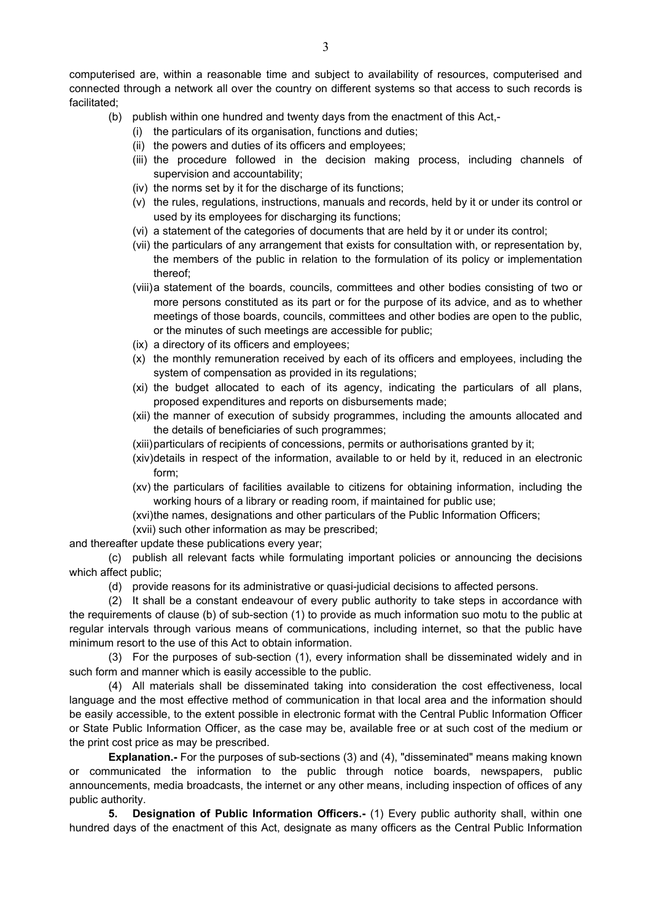computerised are, within a reasonable time and subject to availability of resources, computerised and connected through a network all over the country on different systems so that access to such records is facilitated;

- (b) publish within one hundred and twenty days from the enactment of this Act,-
	- (i) the particulars of its organisation, functions and duties;
	- (ii) the powers and duties of its officers and employees;
	- (iii) the procedure followed in the decision making process, including channels of supervision and accountability;
	- (iv) the norms set by it for the discharge of its functions;
	- (v) the rules, regulations, instructions, manuals and records, held by it or under its control or used by its employees for discharging its functions;
	- (vi) a statement of the categories of documents that are held by it or under its control;
	- (vii) the particulars of any arrangement that exists for consultation with, or representation by, the members of the public in relation to the formulation of its policy or implementation thereof;
	- (viii) a statement of the boards, councils, committees and other bodies consisting of two or more persons constituted as its part or for the purpose of its advice, and as to whether meetings of those boards, councils, committees and other bodies are open to the public, or the minutes of such meetings are accessible for public;
	- (ix) a directory of its officers and employees;
	- (x) the monthly remuneration received by each of its officers and employees, including the system of compensation as provided in its regulations;
	- (xi) the budget allocated to each of its agency, indicating the particulars of all plans, proposed expenditures and reports on disbursements made;
	- (xii) the manner of execution of subsidy programmes, including the amounts allocated and the details of beneficiaries of such programmes;
	- (xiii) particulars of recipients of concessions, permits or authorisations granted by it;
	- (xiv) details in respect of the information, available to or held by it, reduced in an electronic form;
	- (xv) the particulars of facilities available to citizens for obtaining information, including the working hours of a library or reading room, if maintained for public use;

(xvi) the names, designations and other particulars of the Public Information Officers;

(xvii) such other information as may be prescribed;

and thereafter update these publications every year;

(c) publish all relevant facts while formulating important policies or announcing the decisions which affect public;

(d) provide reasons for its administrative or quasi-judicial decisions to affected persons.

(2) It shall be a constant endeavour of every public authority to take steps in accordance with the requirements of clause (b) of sub-section (1) to provide as much information suo motu to the public at regular intervals through various means of communications, including internet, so that the public have minimum resort to the use of this Act to obtain information.

(3) For the purposes of sub-section (1), every information shall be disseminated widely and in such form and manner which is easily accessible to the public.

(4) All materials shall be disseminated taking into consideration the cost effectiveness, local language and the most effective method of communication in that local area and the information should be easily accessible, to the extent possible in electronic format with the Central Public Information Officer or State Public Information Officer, as the case may be, available free or at such cost of the medium or the print cost price as may be prescribed.

**Explanation.-** For the purposes of sub-sections (3) and (4), "disseminated" means making known or communicated the information to the public through notice boards, newspapers, public announcements, media broadcasts, the internet or any other means, including inspection of offices of any public authority.

**5. Designation of Public Information Officers.-** (1) Every public authority shall, within one hundred days of the enactment of this Act, designate as many officers as the Central Public Information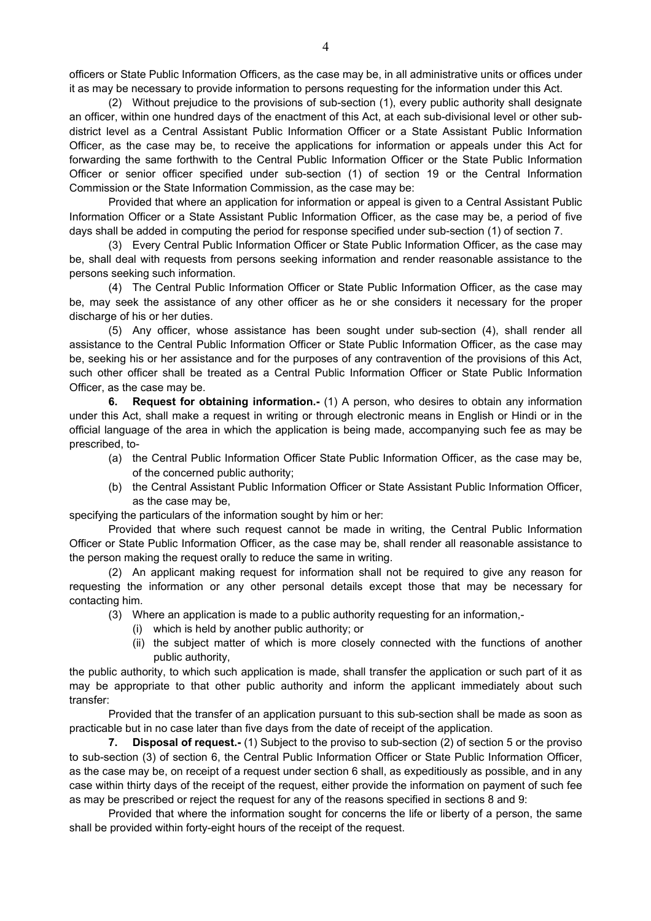officers or State Public Information Officers, as the case may be, in all administrative units or offices under it as may be necessary to provide information to persons requesting for the information under this Act.

(2) Without prejudice to the provisions of sub-section (1), every public authority shall designate an officer, within one hundred days of the enactment of this Act, at each sub-divisional level or other subdistrict level as a Central Assistant Public Information Officer or a State Assistant Public Information Officer, as the case may be, to receive the applications for information or appeals under this Act for forwarding the same forthwith to the Central Public Information Officer or the State Public Information Officer or senior officer specified under sub-section (1) of section 19 or the Central Information Commission or the State Information Commission, as the case may be:

Provided that where an application for information or appeal is given to a Central Assistant Public Information Officer or a State Assistant Public Information Officer, as the case may be, a period of five days shall be added in computing the period for response specified under sub-section (1) of section 7.

(3) Every Central Public Information Officer or State Public Information Officer, as the case may be, shall deal with requests from persons seeking information and render reasonable assistance to the persons seeking such information.

(4) The Central Public Information Officer or State Public Information Officer, as the case may be, may seek the assistance of any other officer as he or she considers it necessary for the proper discharge of his or her duties.

(5) Any officer, whose assistance has been sought under sub-section (4), shall render all assistance to the Central Public Information Officer or State Public Information Officer, as the case may be, seeking his or her assistance and for the purposes of any contravention of the provisions of this Act, such other officer shall be treated as a Central Public Information Officer or State Public Information Officer, as the case may be.

**6. Request for obtaining information.-** (1) A person, who desires to obtain any information under this Act, shall make a request in writing or through electronic means in English or Hindi or in the official language of the area in which the application is being made, accompanying such fee as may be prescribed, to-

- (a) the Central Public Information Officer State Public Information Officer, as the case may be, of the concerned public authority;
- (b) the Central Assistant Public Information Officer or State Assistant Public Information Officer, as the case may be,

specifying the particulars of the information sought by him or her:

Provided that where such request cannot be made in writing, the Central Public Information Officer or State Public Information Officer, as the case may be, shall render all reasonable assistance to the person making the request orally to reduce the same in writing.

(2) An applicant making request for information shall not be required to give any reason for requesting the information or any other personal details except those that may be necessary for contacting him.

- (3) Where an application is made to a public authority requesting for an information,-
	- (i) which is held by another public authority; or
	- (ii) the subject matter of which is more closely connected with the functions of another public authority,

the public authority, to which such application is made, shall transfer the application or such part of it as may be appropriate to that other public authority and inform the applicant immediately about such transfer:

Provided that the transfer of an application pursuant to this sub-section shall be made as soon as practicable but in no case later than five days from the date of receipt of the application.

**7. Disposal of request.-** (1) Subject to the proviso to sub-section (2) of section 5 or the proviso to sub-section (3) of section 6, the Central Public Information Officer or State Public Information Officer, as the case may be, on receipt of a request under section 6 shall, as expeditiously as possible, and in any case within thirty days of the receipt of the request, either provide the information on payment of such fee as may be prescribed or reject the request for any of the reasons specified in sections 8 and 9:

Provided that where the information sought for concerns the life or liberty of a person, the same shall be provided within forty-eight hours of the receipt of the request.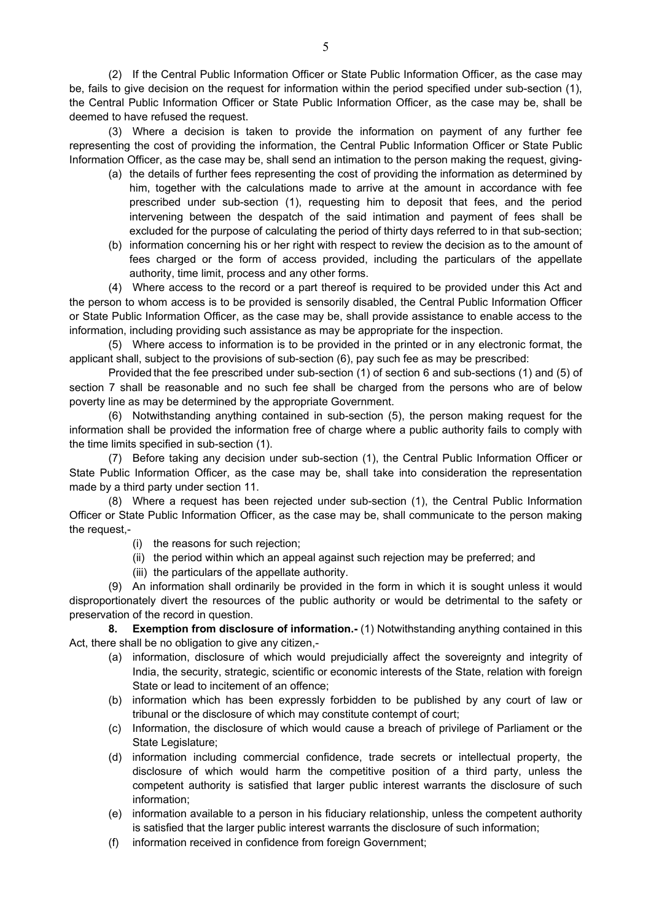(2) If the Central Public Information Officer or State Public Information Officer, as the case may be, fails to give decision on the request for information within the period specified under sub-section (1), the Central Public Information Officer or State Public Information Officer, as the case may be, shall be deemed to have refused the request.

(3) Where a decision is taken to provide the information on payment of any further fee representing the cost of providing the information, the Central Public Information Officer or State Public Information Officer, as the case may be, shall send an intimation to the person making the request, giving-

- (a) the details of further fees representing the cost of providing the information as determined by him, together with the calculations made to arrive at the amount in accordance with fee prescribed under sub-section (1), requesting him to deposit that fees, and the period intervening between the despatch of the said intimation and payment of fees shall be excluded for the purpose of calculating the period of thirty days referred to in that sub-section;
- (b) information concerning his or her right with respect to review the decision as to the amount of fees charged or the form of access provided, including the particulars of the appellate authority, time limit, process and any other forms.

(4) Where access to the record or a part thereof is required to be provided under this Act and the person to whom access is to be provided is sensorily disabled, the Central Public Information Officer or State Public Information Officer, as the case may be, shall provide assistance to enable access to the information, including providing such assistance as may be appropriate for the inspection.

(5) Where access to information is to be provided in the printed or in any electronic format, the applicant shall, subject to the provisions of sub-section (6), pay such fee as may be prescribed:

Provided that the fee prescribed under sub-section (1) of section 6 and sub-sections (1) and (5) of section 7 shall be reasonable and no such fee shall be charged from the persons who are of below poverty line as may be determined by the appropriate Government.

(6) Notwithstanding anything contained in sub-section (5), the person making request for the information shall be provided the information free of charge where a public authority fails to comply with the time limits specified in sub-section (1).

(7) Before taking any decision under sub-section (1), the Central Public Information Officer or State Public Information Officer, as the case may be, shall take into consideration the representation made by a third party under section 11.

(8) Where a request has been rejected under sub-section (1), the Central Public Information Officer or State Public Information Officer, as the case may be, shall communicate to the person making the request,-

- (i) the reasons for such rejection;
- (ii) the period within which an appeal against such rejection may be preferred; and
- (iii) the particulars of the appellate authority.

(9) An information shall ordinarily be provided in the form in which it is sought unless it would disproportionately divert the resources of the public authority or would be detrimental to the safety or preservation of the record in question.

**8. Exemption from disclosure of information.-** (1) Notwithstanding anything contained in this Act, there shall be no obligation to give any citizen,-

- (a) information, disclosure of which would prejudicially affect the sovereignty and integrity of India, the security, strategic, scientific or economic interests of the State, relation with foreign State or lead to incitement of an offence;
- (b) information which has been expressly forbidden to be published by any court of law or tribunal or the disclosure of which may constitute contempt of court;
- (c) Information, the disclosure of which would cause a breach of privilege of Parliament or the State Legislature:
- (d) information including commercial confidence, trade secrets or intellectual property, the disclosure of which would harm the competitive position of a third party, unless the competent authority is satisfied that larger public interest warrants the disclosure of such information;
- (e) information available to a person in his fiduciary relationship, unless the competent authority is satisfied that the larger public interest warrants the disclosure of such information;
- (f) information received in confidence from foreign Government;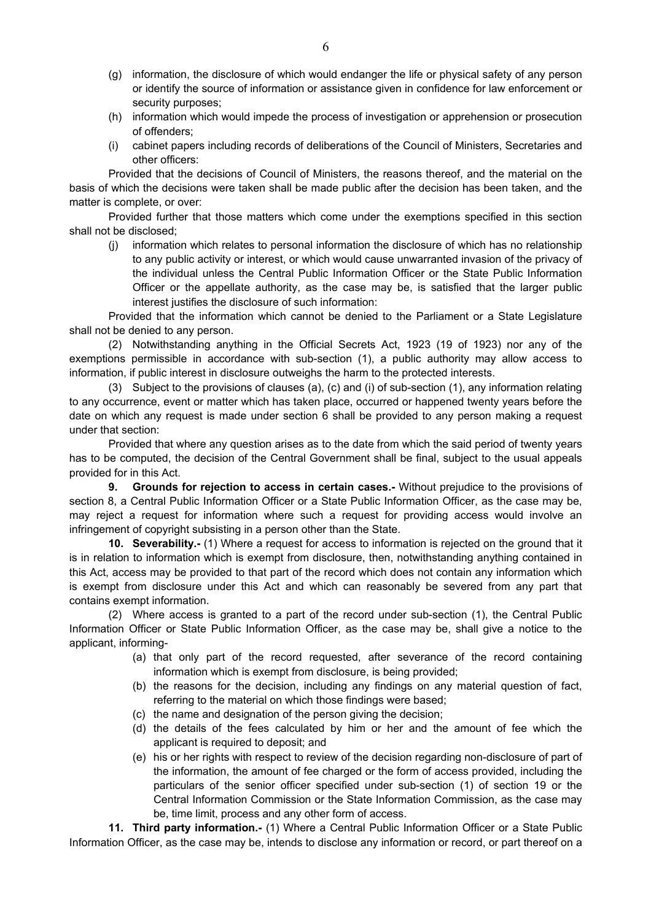- (g) information, the disclosure of which would endanger the life or physical safety of any person or identify the source of information or assistance given in confidence for law enforcement or security purposes;
- (h) information which would impede the process of investigation or apprehension or prosecution of offenders;
- (i) cabinet papers including records of deliberations of the Council of Ministers, Secretaries and other officers:

Provided that the decisions of Council of Ministers, the reasons thereof, and the material on the basis of which the decisions were taken shall be made public after the decision has been taken, and the matter is complete, or over:

Provided further that those matters which come under the exemptions specified in this section shall not be disclosed;

(j) information which relates to personal information the disclosure of which has no relationship to any public activity or interest, or which would cause unwarranted invasion of the privacy of the individual unless the Central Public Information Officer or the State Public Information Officer or the appellate authority, as the case may be, is satisfied that the larger public interest justifies the disclosure of such information:

Provided that the information which cannot be denied to the Parliament or a State Legislature shall not be denied to any person.

(2) Notwithstanding anything in the Official Secrets Act, 1923 (19 of 1923) nor any of the exemptions permissible in accordance with sub-section (1), a public authority may allow access to information, if public interest in disclosure outweighs the harm to the protected interests.

(3) Subject to the provisions of clauses (a), (c) and (i) of sub-section (1), any information relating to any occurrence, event or matter which has taken place, occurred or happened twenty years before the date on which any request is made under section 6 shall be provided to any person making a request under that section:

Provided that where any question arises as to the date from which the said period of twenty years has to be computed, the decision of the Central Government shall be final, subject to the usual appeals provided for in this Act.

**9. Grounds for rejection to access in certain cases.-** Without prejudice to the provisions of section 8, a Central Public Information Officer or a State Public Information Officer, as the case may be, may reject a request for information where such a request for providing access would involve an infringement of copyright subsisting in a person other than the State.

**10. Severability.-** (1) Where a request for access to information is rejected on the ground that it is in relation to information which is exempt from disclosure, then, notwithstanding anything contained in this Act, access may be provided to that part of the record which does not contain any information which is exempt from disclosure under this Act and which can reasonably be severed from any part that contains exempt information.

(2) Where access is granted to a part of the record under sub-section (1), the Central Public Information Officer or State Public Information Officer, as the case may be, shall give a notice to the applicant, informing-

- (a) that only part of the record requested, after severance of the record containing information which is exempt from disclosure, is being provided;
- (b) the reasons for the decision, including any findings on any material question of fact, referring to the material on which those findings were based;
- (c) the name and designation of the person giving the decision;
- (d) the details of the fees calculated by him or her and the amount of fee which the applicant is required to deposit; and
- (e) his or her rights with respect to review of the decision regarding non-disclosure of part of the information, the amount of fee charged or the form of access provided, including the particulars of the senior officer specified under sub-section (1) of section 19 or the Central Information Commission or the State Information Commission, as the case may be, time limit, process and any other form of access.

**11. Third party information.-** (1) Where a Central Public Information Officer or a State Public Information Officer, as the case may be, intends to disclose any information or record, or part thereof on a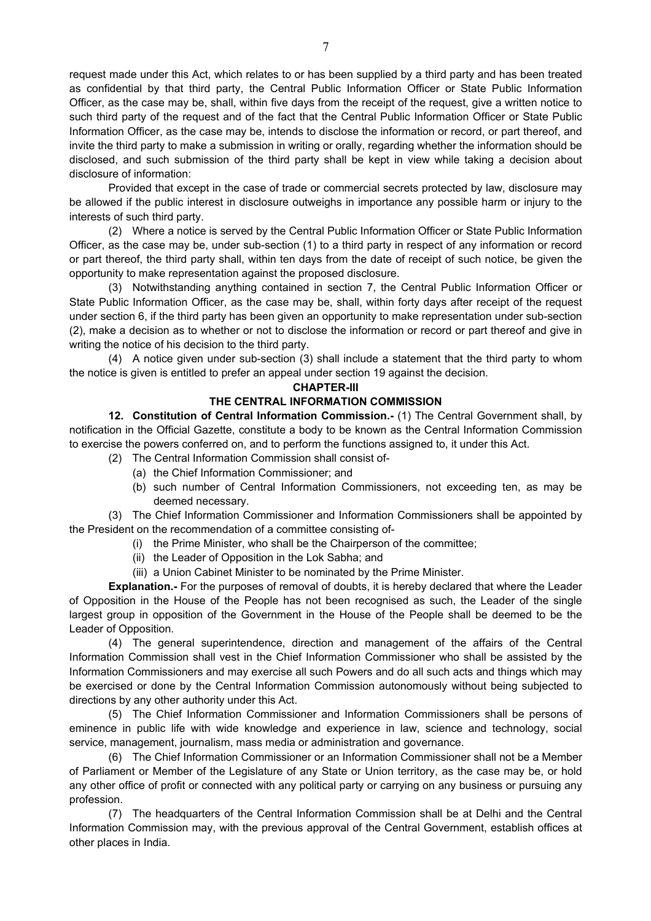request made under this Act, which relates to or has been supplied by a third party and has been treated as confidential by that third party, the Central Public Information Officer or State Public Information Officer, as the case may be, shall, within five days from the receipt of the request, give a written notice to such third party of the request and of the fact that the Central Public Information Officer or State Public Information Officer, as the case may be, intends to disclose the information or record, or part thereof, and invite the third party to make a submission in writing or orally, regarding whether the information should be disclosed, and such submission of the third party shall be kept in view while taking a decision about disclosure of information:

Provided that except in the case of trade or commercial secrets protected by law, disclosure may be allowed if the public interest in disclosure outweighs in importance any possible harm or injury to the interests of such third party.

(2) Where a notice is served by the Central Public Information Officer or State Public Information Officer, as the case may be, under sub-section (1) to a third party in respect of any information or record or part thereof, the third party shall, within ten days from the date of receipt of such notice, be given the opportunity to make representation against the proposed disclosure.

(3) Notwithstanding anything contained in section 7, the Central Public Information Officer or State Public Information Officer, as the case may be, shall, within forty days after receipt of the request under section 6, if the third party has been given an opportunity to make representation under sub-section (2), make a decision as to whether or not to disclose the information or record or part thereof and give in writing the notice of his decision to the third party.

(4) A notice given under sub-section (3) shall include a statement that the third party to whom the notice is given is entitled to prefer an appeal under section 19 against the decision.

#### **CHAPTER-III**

#### **THE CENTRAL INFORMATION COMMISSION**

**12. Constitution of Central Information Commission.-** (1) The Central Government shall, by notification in the Official Gazette, constitute a body to be known as the Central Information Commission to exercise the powers conferred on, and to perform the functions assigned to, it under this Act.

- (2) The Central Information Commission shall consist of-
	- (a) the Chief Information Commissioner; and
	- (b) such number of Central Information Commissioners, not exceeding ten, as may be deemed necessary.

(3) The Chief Information Commissioner and Information Commissioners shall be appointed by the President on the recommendation of a committee consisting of-

- (i) the Prime Minister, who shall be the Chairperson of the committee;
- (ii) the Leader of Opposition in the Lok Sabha; and
- (iii) a Union Cabinet Minister to be nominated by the Prime Minister.

**Explanation.-** For the purposes of removal of doubts, it is hereby declared that where the Leader of Opposition in the House of the People has not been recognised as such, the Leader of the single largest group in opposition of the Government in the House of the People shall be deemed to be the Leader of Opposition.

(4) The general superintendence, direction and management of the affairs of the Central Information Commission shall vest in the Chief Information Commissioner who shall be assisted by the Information Commissioners and may exercise all such Powers and do all such acts and things which may be exercised or done by the Central Information Commission autonomously without being subjected to directions by any other authority under this Act.

(5) The Chief Information Commissioner and Information Commissioners shall be persons of eminence in public life with wide knowledge and experience in law, science and technology, social service, management, journalism, mass media or administration and governance.

(6) The Chief Information Commissioner or an Information Commissioner shall not be a Member of Parliament or Member of the Legislature of any State or Union territory, as the case may be, or hold any other office of profit or connected with any political party or carrying on any business or pursuing any profession.

(7) The headquarters of the Central Information Commission shall be at Delhi and the Central Information Commission may, with the previous approval of the Central Government, establish offices at other places in India.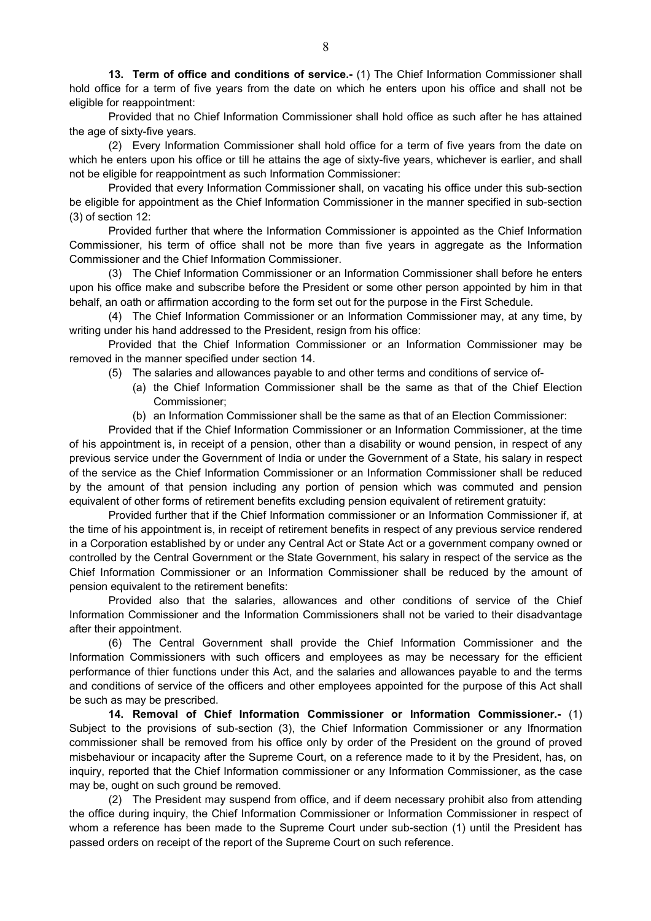**13. Term of office and conditions of service.-** (1) The Chief Information Commissioner shall hold office for a term of five years from the date on which he enters upon his office and shall not be eligible for reappointment:

Provided that no Chief Information Commissioner shall hold office as such after he has attained the age of sixty-five years.

(2) Every Information Commissioner shall hold office for a term of five years from the date on which he enters upon his office or till he attains the age of sixty-five years, whichever is earlier, and shall not be eligible for reappointment as such Information Commissioner:

Provided that every Information Commissioner shall, on vacating his office under this sub-section be eligible for appointment as the Chief Information Commissioner in the manner specified in sub-section (3) of section 12:

Provided further that where the Information Commissioner is appointed as the Chief Information Commissioner, his term of office shall not be more than five years in aggregate as the Information Commissioner and the Chief Information Commissioner.

(3) The Chief Information Commissioner or an Information Commissioner shall before he enters upon his office make and subscribe before the President or some other person appointed by him in that behalf, an oath or affirmation according to the form set out for the purpose in the First Schedule.

(4) The Chief Information Commissioner or an Information Commissioner may, at any time, by writing under his hand addressed to the President, resign from his office:

Provided that the Chief Information Commissioner or an Information Commissioner may be removed in the manner specified under section 14.

(5) The salaries and allowances payable to and other terms and conditions of service of-

- (a) the Chief Information Commissioner shall be the same as that of the Chief Election Commissioner;
- (b) an Information Commissioner shall be the same as that of an Election Commissioner:

Provided that if the Chief Information Commissioner or an Information Commissioner, at the time of his appointment is, in receipt of a pension, other than a disability or wound pension, in respect of any previous service under the Government of India or under the Government of a State, his salary in respect of the service as the Chief Information Commissioner or an Information Commissioner shall be reduced by the amount of that pension including any portion of pension which was commuted and pension equivalent of other forms of retirement benefits excluding pension equivalent of retirement gratuity:

Provided further that if the Chief Information commissioner or an Information Commissioner if, at the time of his appointment is, in receipt of retirement benefits in respect of any previous service rendered in a Corporation established by or under any Central Act or State Act or a government company owned or controlled by the Central Government or the State Government, his salary in respect of the service as the Chief Information Commissioner or an Information Commissioner shall be reduced by the amount of pension equivalent to the retirement benefits:

Provided also that the salaries, allowances and other conditions of service of the Chief Information Commissioner and the Information Commissioners shall not be varied to their disadvantage after their appointment.

(6) The Central Government shall provide the Chief Information Commissioner and the Information Commissioners with such officers and employees as may be necessary for the efficient performance of thier functions under this Act, and the salaries and allowances payable to and the terms and conditions of service of the officers and other employees appointed for the purpose of this Act shall be such as may be prescribed.

**14. Removal of Chief Information Commissioner or Information Commissioner.-** (1) Subject to the provisions of sub-section (3), the Chief Information Commissioner or any Ifnormation commissioner shall be removed from his office only by order of the President on the ground of proved misbehaviour or incapacity after the Supreme Court, on a reference made to it by the President, has, on inquiry, reported that the Chief Information commissioner or any Information Commissioner, as the case may be, ought on such ground be removed.

(2) The President may suspend from office, and if deem necessary prohibit also from attending the office during inquiry, the Chief Information Commissioner or Information Commissioner in respect of whom a reference has been made to the Supreme Court under sub-section (1) until the President has passed orders on receipt of the report of the Supreme Court on such reference.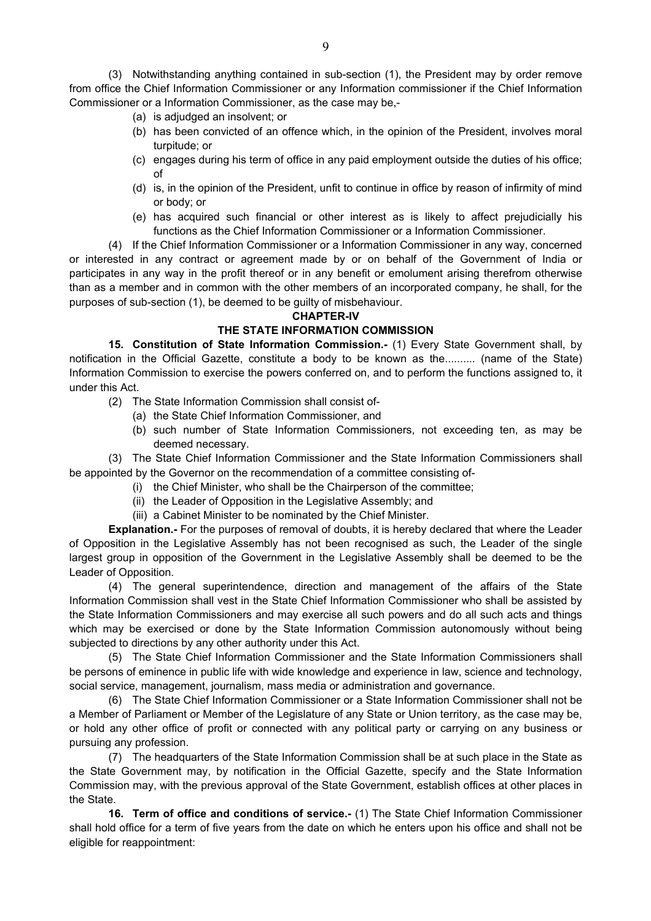(3) Notwithstanding anything contained in sub-section (1), the President may by order remove from office the Chief Information Commissioner or any Information commissioner if the Chief Information Commissioner or a Information Commissioner, as the case may be,-

- (a) is adjudged an insolvent; or
- (b) has been convicted of an offence which, in the opinion of the President, involves moral turpitude; or
- (c) engages during his term of office in any paid employment outside the duties of his office; of
- (d) is, in the opinion of the President, unfit to continue in office by reason of infirmity of mind or body; or
- (e) has acquired such financial or other interest as is likely to affect prejudicially his functions as the Chief Information Commissioner or a Information Commissioner.

(4) If the Chief Information Commissioner or a Information Commissioner in any way, concerned or interested in any contract or agreement made by or on behalf of the Government of India or participates in any way in the profit thereof or in any benefit or emolument arising therefrom otherwise than as a member and in common with the other members of an incorporated company, he shall, for the purposes of sub-section (1), be deemed to be guilty of misbehaviour.

#### **CHAPTER-IV**

#### **THE STATE INFORMATION COMMISSION**

**15. Constitution of State Information Commission.-** (1) Every State Government shall, by notification in the Official Gazette, constitute a body to be known as the.......... (name of the State) Information Commission to exercise the powers conferred on, and to perform the functions assigned to, it under this Act.

- (2) The State Information Commission shall consist of-
	- (a) the State Chief Information Commissioner, and
	- (b) such number of State Information Commissioners, not exceeding ten, as may be deemed necessary.

(3) The State Chief Information Commissioner and the State Information Commissioners shall be appointed by the Governor on the recommendation of a committee consisting of-

- (i) the Chief Minister, who shall be the Chairperson of the committee;
- (ii) the Leader of Opposition in the Legislative Assembly; and
- (iii) a Cabinet Minister to be nominated by the Chief Minister.

**Explanation.-** For the purposes of removal of doubts, it is hereby declared that where the Leader of Opposition in the Legislative Assembly has not been recognised as such, the Leader of the single largest group in opposition of the Government in the Legislative Assembly shall be deemed to be the Leader of Opposition.

(4) The general superintendence, direction and management of the affairs of the State Information Commission shall vest in the State Chief Information Commissioner who shall be assisted by the State Information Commissioners and may exercise all such powers and do all such acts and things which may be exercised or done by the State Information Commission autonomously without being subjected to directions by any other authority under this Act.

(5) The State Chief Information Commissioner and the State Information Commissioners shall be persons of eminence in public life with wide knowledge and experience in law, science and technology, social service, management, journalism, mass media or administration and governance.

(6) The State Chief Information Commissioner or a State Information Commissioner shall not be a Member of Parliament or Member of the Legislature of any State or Union territory, as the case may be, or hold any other office of profit or connected with any political party or carrying on any business or pursuing any profession.

(7) The headquarters of the State Information Commission shall be at such place in the State as the State Government may, by notification in the Official Gazette, specify and the State Information Commission may, with the previous approval of the State Government, establish offices at other places in the State.

**16. Term of office and conditions of service.-** (1) The State Chief Information Commissioner shall hold office for a term of five years from the date on which he enters upon his office and shall not be eligible for reappointment: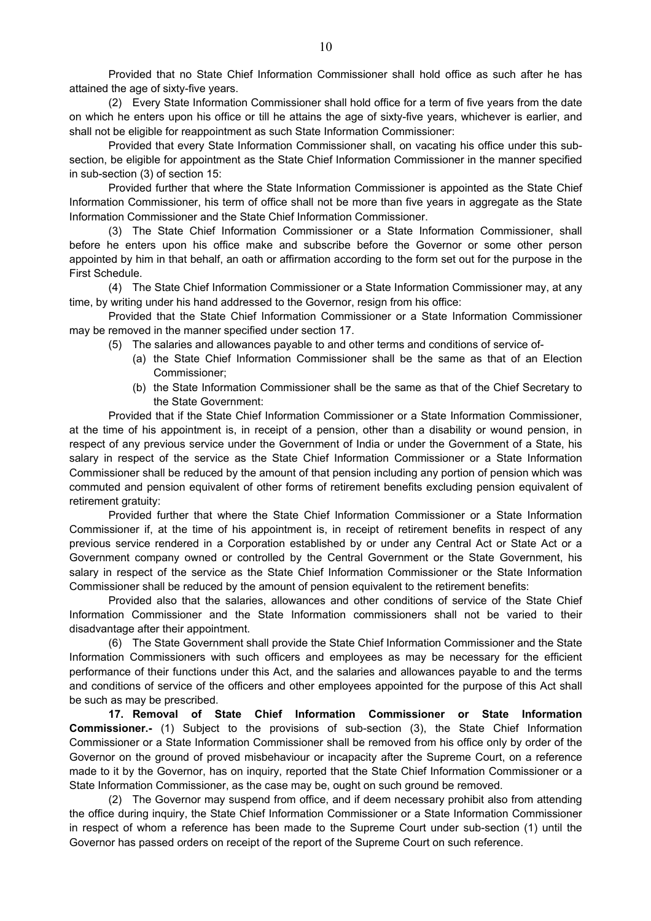Provided that no State Chief Information Commissioner shall hold office as such after he has attained the age of sixty-five years.

(2) Every State Information Commissioner shall hold office for a term of five years from the date on which he enters upon his office or till he attains the age of sixty-five years, whichever is earlier, and shall not be eligible for reappointment as such State Information Commissioner:

Provided that every State Information Commissioner shall, on vacating his office under this subsection, be eligible for appointment as the State Chief Information Commissioner in the manner specified in sub-section (3) of section 15:

Provided further that where the State Information Commissioner is appointed as the State Chief Information Commissioner, his term of office shall not be more than five years in aggregate as the State Information Commissioner and the State Chief Information Commissioner.

(3) The State Chief Information Commissioner or a State Information Commissioner, shall before he enters upon his office make and subscribe before the Governor or some other person appointed by him in that behalf, an oath or affirmation according to the form set out for the purpose in the First Schedule.

(4) The State Chief Information Commissioner or a State Information Commissioner may, at any time, by writing under his hand addressed to the Governor, resign from his office:

Provided that the State Chief Information Commissioner or a State Information Commissioner may be removed in the manner specified under section 17.

- (5) The salaries and allowances payable to and other terms and conditions of service of-
	- (a) the State Chief Information Commissioner shall be the same as that of an Election Commissioner;
	- (b) the State Information Commissioner shall be the same as that of the Chief Secretary to the State Government:

Provided that if the State Chief Information Commissioner or a State Information Commissioner, at the time of his appointment is, in receipt of a pension, other than a disability or wound pension, in respect of any previous service under the Government of India or under the Government of a State, his salary in respect of the service as the State Chief Information Commissioner or a State Information Commissioner shall be reduced by the amount of that pension including any portion of pension which was commuted and pension equivalent of other forms of retirement benefits excluding pension equivalent of retirement gratuity:

Provided further that where the State Chief Information Commissioner or a State Information Commissioner if, at the time of his appointment is, in receipt of retirement benefits in respect of any previous service rendered in a Corporation established by or under any Central Act or State Act or a Government company owned or controlled by the Central Government or the State Government, his salary in respect of the service as the State Chief Information Commissioner or the State Information Commissioner shall be reduced by the amount of pension equivalent to the retirement benefits:

Provided also that the salaries, allowances and other conditions of service of the State Chief Information Commissioner and the State Information commissioners shall not be varied to their disadvantage after their appointment.

(6) The State Government shall provide the State Chief Information Commissioner and the State Information Commissioners with such officers and employees as may be necessary for the efficient performance of their functions under this Act, and the salaries and allowances payable to and the terms and conditions of service of the officers and other employees appointed for the purpose of this Act shall be such as may be prescribed.

**17. Removal of State Chief Information Commissioner or State Information Commissioner.-** (1) Subject to the provisions of sub-section (3), the State Chief Information Commissioner or a State Information Commissioner shall be removed from his office only by order of the Governor on the ground of proved misbehaviour or incapacity after the Supreme Court, on a reference made to it by the Governor, has on inquiry, reported that the State Chief Information Commissioner or a State Information Commissioner, as the case may be, ought on such ground be removed.

(2) The Governor may suspend from office, and if deem necessary prohibit also from attending the office during inquiry, the State Chief Information Commissioner or a State Information Commissioner in respect of whom a reference has been made to the Supreme Court under sub-section (1) until the Governor has passed orders on receipt of the report of the Supreme Court on such reference.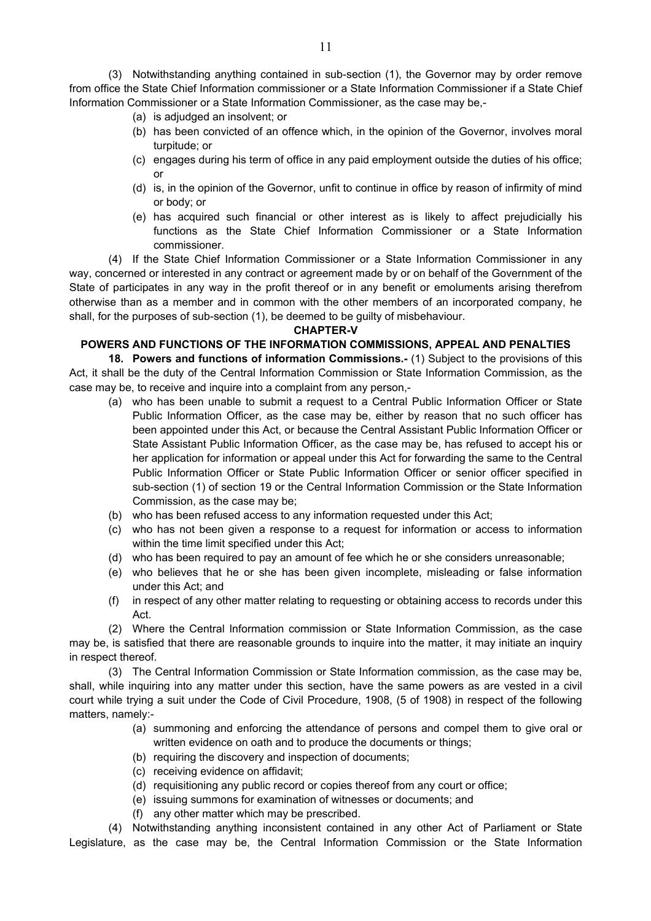(3) Notwithstanding anything contained in sub-section (1), the Governor may by order remove from office the State Chief Information commissioner or a State Information Commissioner if a State Chief Information Commissioner or a State Information Commissioner, as the case may be,-

- (a) is adjudged an insolvent; or
- (b) has been convicted of an offence which, in the opinion of the Governor, involves moral turpitude; or
- (c) engages during his term of office in any paid employment outside the duties of his office; or
- (d) is, in the opinion of the Governor, unfit to continue in office by reason of infirmity of mind or body; or
- (e) has acquired such financial or other interest as is likely to affect prejudicially his functions as the State Chief Information Commissioner or a State Information commissioner.

(4) If the State Chief Information Commissioner or a State Information Commissioner in any way, concerned or interested in any contract or agreement made by or on behalf of the Government of the State of participates in any way in the profit thereof or in any benefit or emoluments arising therefrom otherwise than as a member and in common with the other members of an incorporated company, he shall, for the purposes of sub-section (1), be deemed to be guilty of misbehaviour.

#### **CHAPTER-V**

## **POWERS AND FUNCTIONS OF THE INFORMATION COMMISSIONS, APPEAL AND PENALTIES**

**18. Powers and functions of information Commissions.-** (1) Subject to the provisions of this Act, it shall be the duty of the Central Information Commission or State Information Commission, as the case may be, to receive and inquire into a complaint from any person,-

- (a) who has been unable to submit a request to a Central Public Information Officer or State Public Information Officer, as the case may be, either by reason that no such officer has been appointed under this Act, or because the Central Assistant Public Information Officer or State Assistant Public Information Officer, as the case may be, has refused to accept his or her application for information or appeal under this Act for forwarding the same to the Central Public Information Officer or State Public Information Officer or senior officer specified in sub-section (1) of section 19 or the Central Information Commission or the State Information Commission, as the case may be;
- (b) who has been refused access to any information requested under this Act;
- (c) who has not been given a response to a request for information or access to information within the time limit specified under this Act;
- (d) who has been required to pay an amount of fee which he or she considers unreasonable;
- (e) who believes that he or she has been given incomplete, misleading or false information under this Act; and
- (f) in respect of any other matter relating to requesting or obtaining access to records under this Act.

(2) Where the Central Information commission or State Information Commission, as the case may be, is satisfied that there are reasonable grounds to inquire into the matter, it may initiate an inquiry in respect thereof.

(3) The Central Information Commission or State Information commission, as the case may be, shall, while inquiring into any matter under this section, have the same powers as are vested in a civil court while trying a suit under the Code of Civil Procedure, 1908, (5 of 1908) in respect of the following matters, namely:-

- (a) summoning and enforcing the attendance of persons and compel them to give oral or written evidence on oath and to produce the documents or things;
- (b) requiring the discovery and inspection of documents;
- (c) receiving evidence on affidavit;
- (d) requisitioning any public record or copies thereof from any court or office;
- (e) issuing summons for examination of witnesses or documents; and
- (f) any other matter which may be prescribed.

 (4) Notwithstanding anything inconsistent contained in any other Act of Parliament or State Legislature, as the case may be, the Central Information Commission or the State Information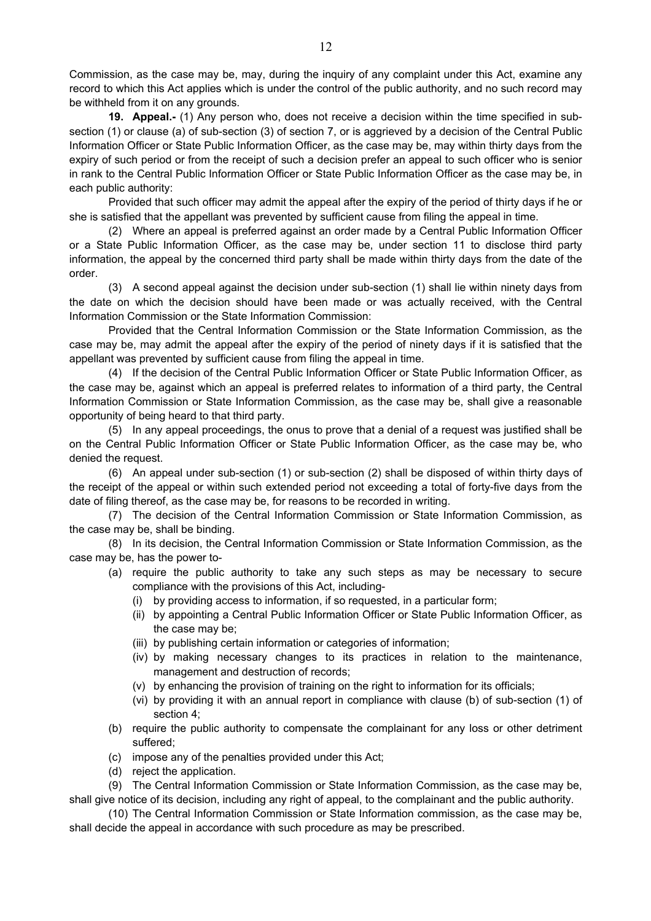Commission, as the case may be, may, during the inquiry of any complaint under this Act, examine any record to which this Act applies which is under the control of the public authority, and no such record may be withheld from it on any grounds.

**19. Appeal.-** (1) Any person who, does not receive a decision within the time specified in subsection (1) or clause (a) of sub-section (3) of section 7, or is aggrieved by a decision of the Central Public Information Officer or State Public Information Officer, as the case may be, may within thirty days from the expiry of such period or from the receipt of such a decision prefer an appeal to such officer who is senior in rank to the Central Public Information Officer or State Public Information Officer as the case may be, in each public authority:

Provided that such officer may admit the appeal after the expiry of the period of thirty days if he or she is satisfied that the appellant was prevented by sufficient cause from filing the appeal in time.

(2) Where an appeal is preferred against an order made by a Central Public Information Officer or a State Public Information Officer, as the case may be, under section 11 to disclose third party information, the appeal by the concerned third party shall be made within thirty days from the date of the order.

(3) A second appeal against the decision under sub-section (1) shall lie within ninety days from the date on which the decision should have been made or was actually received, with the Central Information Commission or the State Information Commission:

Provided that the Central Information Commission or the State Information Commission, as the case may be, may admit the appeal after the expiry of the period of ninety days if it is satisfied that the appellant was prevented by sufficient cause from filing the appeal in time.

(4) If the decision of the Central Public Information Officer or State Public Information Officer, as the case may be, against which an appeal is preferred relates to information of a third party, the Central Information Commission or State Information Commission, as the case may be, shall give a reasonable opportunity of being heard to that third party.

(5) In any appeal proceedings, the onus to prove that a denial of a request was justified shall be on the Central Public Information Officer or State Public Information Officer, as the case may be, who denied the request.

(6) An appeal under sub-section (1) or sub-section (2) shall be disposed of within thirty days of the receipt of the appeal or within such extended period not exceeding a total of forty-five days from the date of filing thereof, as the case may be, for reasons to be recorded in writing.

(7) The decision of the Central Information Commission or State Information Commission, as the case may be, shall be binding.

(8) In its decision, the Central Information Commission or State Information Commission, as the case may be, has the power to-

- (a) require the public authority to take any such steps as may be necessary to secure compliance with the provisions of this Act, including-
	- (i) by providing access to information, if so requested, in a particular form;
	- (ii) by appointing a Central Public Information Officer or State Public Information Officer, as the case may be;
	- (iii) by publishing certain information or categories of information;
	- (iv) by making necessary changes to its practices in relation to the maintenance, management and destruction of records;
	- (v) by enhancing the provision of training on the right to information for its officials;
	- (vi) by providing it with an annual report in compliance with clause (b) of sub-section (1) of section 4;
- (b) require the public authority to compensate the complainant for any loss or other detriment suffered;
- (c) impose any of the penalties provided under this Act;
- (d) reject the application.

(9) The Central Information Commission or State Information Commission, as the case may be, shall give notice of its decision, including any right of appeal, to the complainant and the public authority.

(10) The Central Information Commission or State Information commission, as the case may be, shall decide the appeal in accordance with such procedure as may be prescribed.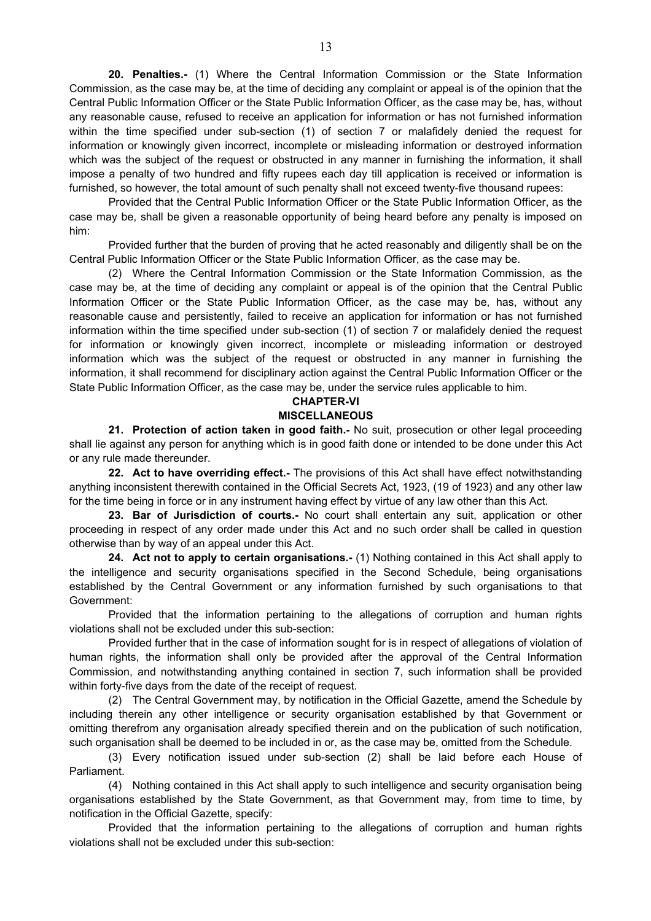**20. Penalties.-** (1) Where the Central Information Commission or the State Information Commission, as the case may be, at the time of deciding any complaint or appeal is of the opinion that the Central Public Information Officer or the State Public Information Officer, as the case may be, has, without any reasonable cause, refused to receive an application for information or has not furnished information within the time specified under sub-section (1) of section 7 or malafidely denied the request for information or knowingly given incorrect, incomplete or misleading information or destroyed information which was the subject of the request or obstructed in any manner in furnishing the information, it shall impose a penalty of two hundred and fifty rupees each day till application is received or information is furnished, so however, the total amount of such penalty shall not exceed twenty-five thousand rupees:

Provided that the Central Public Information Officer or the State Public Information Officer, as the case may be, shall be given a reasonable opportunity of being heard before any penalty is imposed on him:

Provided further that the burden of proving that he acted reasonably and diligently shall be on the Central Public Information Officer or the State Public Information Officer, as the case may be.

(2) Where the Central Information Commission or the State Information Commission, as the case may be, at the time of deciding any complaint or appeal is of the opinion that the Central Public Information Officer or the State Public Information Officer, as the case may be, has, without any reasonable cause and persistently, failed to receive an application for information or has not furnished information within the time specified under sub-section (1) of section 7 or malafidely denied the request for information or knowingly given incorrect, incomplete or misleading information or destroyed information which was the subject of the request or obstructed in any manner in furnishing the information, it shall recommend for disciplinary action against the Central Public Information Officer or the State Public Information Officer, as the case may be, under the service rules applicable to him.

#### **CHAPTER-VI MISCELLANEOUS**

**21. Protection of action taken in good faith.-** No suit, prosecution or other legal proceeding shall lie against any person for anything which is in good faith done or intended to be done under this Act or any rule made thereunder.

**22. Act to have overriding effect.-** The provisions of this Act shall have effect notwithstanding anything inconsistent therewith contained in the Official Secrets Act, 1923, (19 of 1923) and any other law for the time being in force or in any instrument having effect by virtue of any law other than this Act.

**23. Bar of Jurisdiction of courts.-** No court shall entertain any suit, application or other proceeding in respect of any order made under this Act and no such order shall be called in question otherwise than by way of an appeal under this Act.

**24. Act not to apply to certain organisations.-** (1) Nothing contained in this Act shall apply to the intelligence and security organisations specified in the Second Schedule, being organisations established by the Central Government or any information furnished by such organisations to that Government:

Provided that the information pertaining to the allegations of corruption and human rights violations shall not be excluded under this sub-section:

Provided further that in the case of information sought for is in respect of allegations of violation of human rights, the information shall only be provided after the approval of the Central Information Commission, and notwithstanding anything contained in section 7, such information shall be provided within forty-five days from the date of the receipt of request.

(2) The Central Government may, by notification in the Official Gazette, amend the Schedule by including therein any other intelligence or security organisation established by that Government or omitting therefrom any organisation already specified therein and on the publication of such notification, such organisation shall be deemed to be included in or, as the case may be, omitted from the Schedule.

(3) Every notification issued under sub-section (2) shall be laid before each House of Parliament.

(4) Nothing contained in this Act shall apply to such intelligence and security organisation being organisations established by the State Government, as that Government may, from time to time, by notification in the Official Gazette, specify:

Provided that the information pertaining to the allegations of corruption and human rights violations shall not be excluded under this sub-section: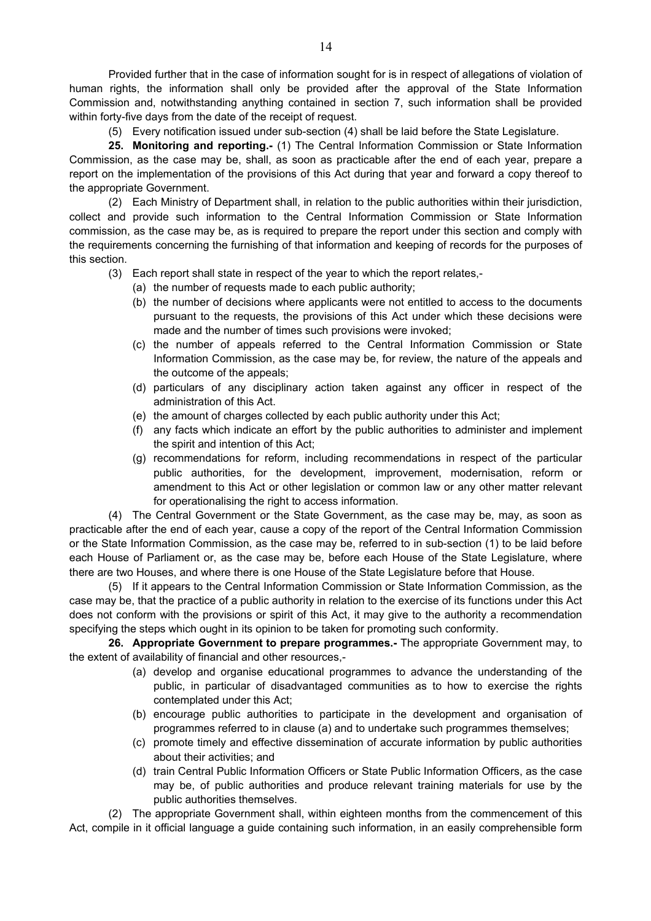Provided further that in the case of information sought for is in respect of allegations of violation of human rights, the information shall only be provided after the approval of the State Information Commission and, notwithstanding anything contained in section 7, such information shall be provided within forty-five days from the date of the receipt of request.

(5) Every notification issued under sub-section (4) shall be laid before the State Legislature.

**25. Monitoring and reporting.-** (1) The Central Information Commission or State Information Commission, as the case may be, shall, as soon as practicable after the end of each year, prepare a report on the implementation of the provisions of this Act during that year and forward a copy thereof to the appropriate Government.

(2) Each Ministry of Department shall, in relation to the public authorities within their jurisdiction, collect and provide such information to the Central Information Commission or State Information commission, as the case may be, as is required to prepare the report under this section and comply with the requirements concerning the furnishing of that information and keeping of records for the purposes of this section.

- (3) Each report shall state in respect of the year to which the report relates,-
	- (a) the number of requests made to each public authority;
	- (b) the number of decisions where applicants were not entitled to access to the documents pursuant to the requests, the provisions of this Act under which these decisions were made and the number of times such provisions were invoked;
	- (c) the number of appeals referred to the Central Information Commission or State Information Commission, as the case may be, for review, the nature of the appeals and the outcome of the appeals;
	- (d) particulars of any disciplinary action taken against any officer in respect of the administration of this Act.
	- (e) the amount of charges collected by each public authority under this Act;
	- (f) any facts which indicate an effort by the public authorities to administer and implement the spirit and intention of this Act;
	- (g) recommendations for reform, including recommendations in respect of the particular public authorities, for the development, improvement, modernisation, reform or amendment to this Act or other legislation or common law or any other matter relevant for operationalising the right to access information.

(4) The Central Government or the State Government, as the case may be, may, as soon as practicable after the end of each year, cause a copy of the report of the Central Information Commission or the State Information Commission, as the case may be, referred to in sub-section (1) to be laid before each House of Parliament or, as the case may be, before each House of the State Legislature, where there are two Houses, and where there is one House of the State Legislature before that House.

(5) If it appears to the Central Information Commission or State Information Commission, as the case may be, that the practice of a public authority in relation to the exercise of its functions under this Act does not conform with the provisions or spirit of this Act, it may give to the authority a recommendation specifying the steps which ought in its opinion to be taken for promoting such conformity.

**26. Appropriate Government to prepare programmes.-** The appropriate Government may, to the extent of availability of financial and other resources,-

- (a) develop and organise educational programmes to advance the understanding of the public, in particular of disadvantaged communities as to how to exercise the rights contemplated under this Act;
- (b) encourage public authorities to participate in the development and organisation of programmes referred to in clause (a) and to undertake such programmes themselves;
- (c) promote timely and effective dissemination of accurate information by public authorities about their activities; and
- (d) train Central Public Information Officers or State Public Information Officers, as the case may be, of public authorities and produce relevant training materials for use by the public authorities themselves.

(2) The appropriate Government shall, within eighteen months from the commencement of this Act, compile in it official language a guide containing such information, in an easily comprehensible form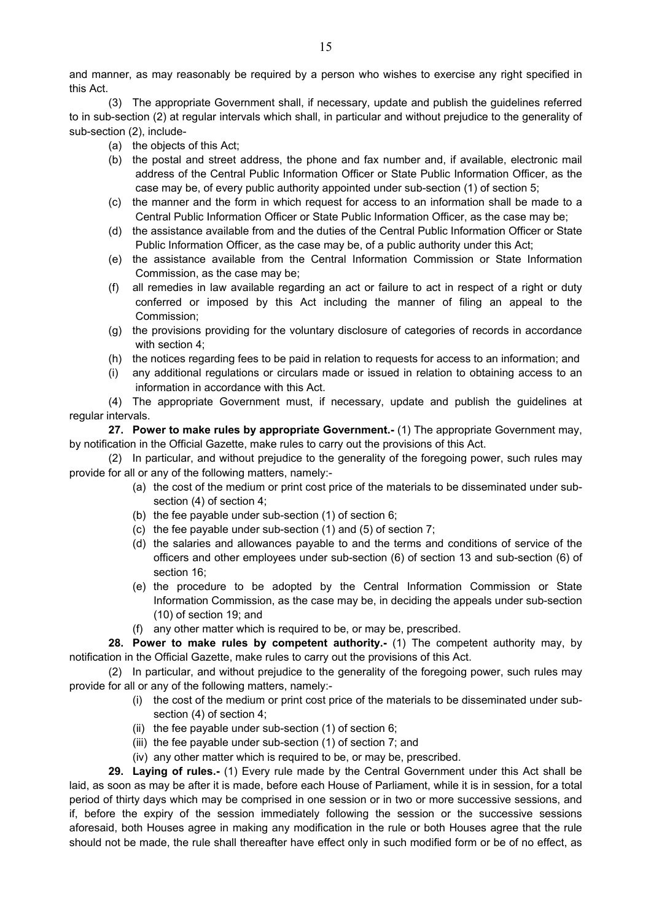and manner, as may reasonably be required by a person who wishes to exercise any right specified in this Act.

(3) The appropriate Government shall, if necessary, update and publish the guidelines referred to in sub-section (2) at regular intervals which shall, in particular and without prejudice to the generality of sub-section (2), include-

- (a) the objects of this Act;
- (b) the postal and street address, the phone and fax number and, if available, electronic mail address of the Central Public Information Officer or State Public Information Officer, as the case may be, of every public authority appointed under sub-section (1) of section 5;
- (c) the manner and the form in which request for access to an information shall be made to a Central Public Information Officer or State Public Information Officer, as the case may be;
- (d) the assistance available from and the duties of the Central Public Information Officer or State Public Information Officer, as the case may be, of a public authority under this Act;
- (e) the assistance available from the Central Information Commission or State Information Commission, as the case may be;
- (f) all remedies in law available regarding an act or failure to act in respect of a right or duty conferred or imposed by this Act including the manner of filing an appeal to the Commission;
- (g) the provisions providing for the voluntary disclosure of categories of records in accordance with section 4;
- (h) the notices regarding fees to be paid in relation to requests for access to an information; and
- (i) any additional regulations or circulars made or issued in relation to obtaining access to an information in accordance with this Act.

(4) The appropriate Government must, if necessary, update and publish the guidelines at regular intervals.

**27. Power to make rules by appropriate Government.-** (1) The appropriate Government may, by notification in the Official Gazette, make rules to carry out the provisions of this Act.

(2) In particular, and without prejudice to the generality of the foregoing power, such rules may provide for all or any of the following matters, namely:-

- (a) the cost of the medium or print cost price of the materials to be disseminated under subsection (4) of section 4;
- (b) the fee payable under sub-section (1) of section 6;
- (c) the fee payable under sub-section (1) and (5) of section 7;
- (d) the salaries and allowances payable to and the terms and conditions of service of the officers and other employees under sub-section (6) of section 13 and sub-section (6) of section 16;
- (e) the procedure to be adopted by the Central Information Commission or State Information Commission, as the case may be, in deciding the appeals under sub-section (10) of section 19; and
- (f) any other matter which is required to be, or may be, prescribed.

**28. Power to make rules by competent authority.-** (1) The competent authority may, by notification in the Official Gazette, make rules to carry out the provisions of this Act.

(2) In particular, and without prejudice to the generality of the foregoing power, such rules may provide for all or any of the following matters, namely:-

- (i) the cost of the medium or print cost price of the materials to be disseminated under subsection (4) of section 4;
- (ii) the fee payable under sub-section  $(1)$  of section 6;
- (iii) the fee payable under sub-section (1) of section 7; and
- (iv) any other matter which is required to be, or may be, prescribed.

**29. Laying of rules.-** (1) Every rule made by the Central Government under this Act shall be laid, as soon as may be after it is made, before each House of Parliament, while it is in session, for a total period of thirty days which may be comprised in one session or in two or more successive sessions, and if, before the expiry of the session immediately following the session or the successive sessions aforesaid, both Houses agree in making any modification in the rule or both Houses agree that the rule should not be made, the rule shall thereafter have effect only in such modified form or be of no effect, as